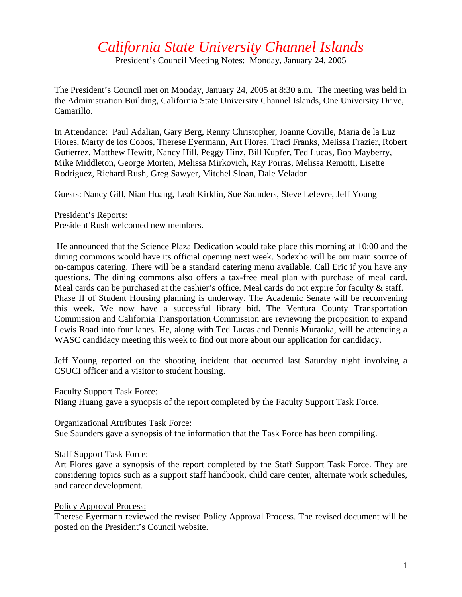# *California State University Channel Islands*

President's Council Meeting Notes: Monday, January 24, 2005

The President's Council met on Monday, January 24, 2005 at 8:30 a.m. The meeting was held in the Administration Building, California State University Channel Islands, One University Drive, Camarillo.

In Attendance: Paul Adalian, Gary Berg, Renny Christopher, Joanne Coville, Maria de la Luz Flores, Marty de los Cobos, Therese Eyermann, Art Flores, Traci Franks, Melissa Frazier, Robert Gutierrez, Matthew Hewitt, Nancy Hill, Peggy Hinz, Bill Kupfer, Ted Lucas, Bob Mayberry, Mike Middleton, George Morten, Melissa Mirkovich, Ray Porras, Melissa Remotti, Lisette Rodriguez, Richard Rush, Greg Sawyer, Mitchel Sloan, Dale Velador

Guests: Nancy Gill, Nian Huang, Leah Kirklin, Sue Saunders, Steve Lefevre, Jeff Young

President's Reports: President Rush welcomed new members.

 He announced that the Science Plaza Dedication would take place this morning at 10:00 and the dining commons would have its official opening next week. Sodexho will be our main source of on-campus catering. There will be a standard catering menu available. Call Eric if you have any questions. The dining commons also offers a tax-free meal plan with purchase of meal card. Meal cards can be purchased at the cashier's office. Meal cards do not expire for faculty & staff. Phase II of Student Housing planning is underway. The Academic Senate will be reconvening this week. We now have a successful library bid. The Ventura County Transportation Commission and California Transportation Commission are reviewing the proposition to expand Lewis Road into four lanes. He, along with Ted Lucas and Dennis Muraoka, will be attending a WASC candidacy meeting this week to find out more about our application for candidacy.

Jeff Young reported on the shooting incident that occurred last Saturday night involving a CSUCI officer and a visitor to student housing.

Faculty Support Task Force:

Niang Huang gave a synopsis of the report completed by the Faculty Support Task Force.

Organizational Attributes Task Force:

Sue Saunders gave a synopsis of the information that the Task Force has been compiling.

#### Staff Support Task Force:

Art Flores gave a synopsis of the report completed by the Staff Support Task Force. They are considering topics such as a support staff handbook, child care center, alternate work schedules, and career development.

### Policy Approval Process:

Therese Eyermann reviewed the revised Policy Approval Process. The revised document will be posted on the President's Council website.